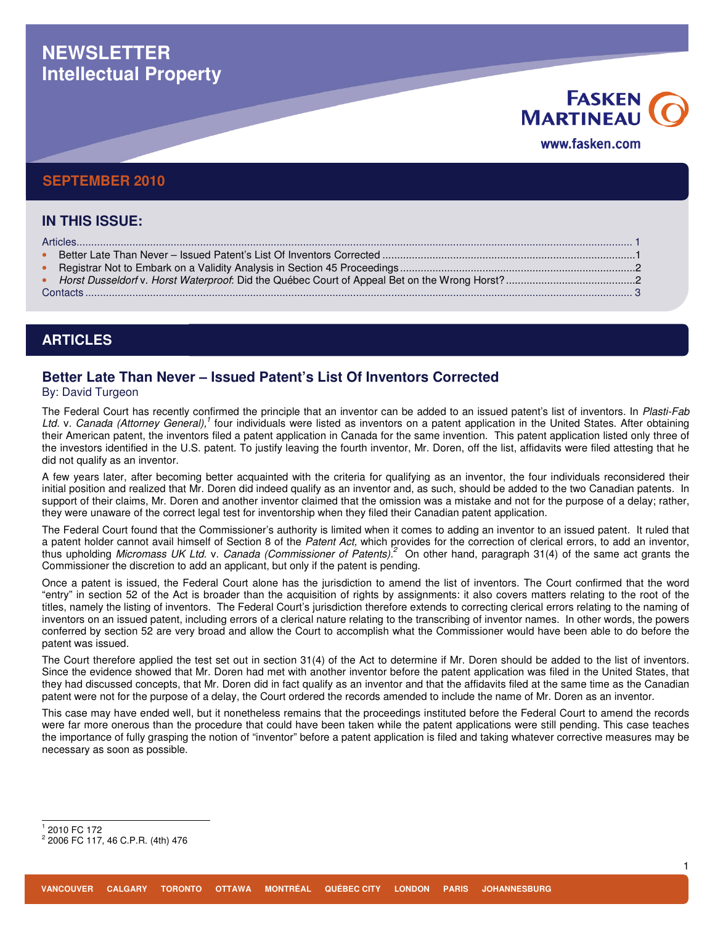# **NEWSLETTER Intellectual Property**

# **FASKEN MARTINEAU** www.fasken.com

### **SEPTEMBER 2010**

| <b>IN THIS ISSUE:</b> |  |
|-----------------------|--|
|                       |  |
|                       |  |
|                       |  |
|                       |  |
|                       |  |
|                       |  |

### **ARTICLES**

## **Better Late Than Never – Issued Patent's List Of Inventors Corrected**

By: David Turgeon

The Federal Court has recently confirmed the principle that an inventor can be added to an issued patent's list of inventors. In Plasti-Fab Ltd. v. Canada (Attorney General),<sup>1</sup> four individuals were listed as inventors on a patent application in the United States. After obtaining their American patent, the inventors filed a patent application in Canada for the same invention. This patent application listed only three of the investors identified in the U.S. patent. To justify leaving the fourth inventor, Mr. Doren, off the list, affidavits were filed attesting that he did not qualify as an inventor.

A few years later, after becoming better acquainted with the criteria for qualifying as an inventor, the four individuals reconsidered their initial position and realized that Mr. Doren did indeed qualify as an inventor and, as such, should be added to the two Canadian patents. In support of their claims, Mr. Doren and another inventor claimed that the omission was a mistake and not for the purpose of a delay; rather, they were unaware of the correct legal test for inventorship when they filed their Canadian patent application.

The Federal Court found that the Commissioner's authority is limited when it comes to adding an inventor to an issued patent. It ruled that a patent holder cannot avail himself of Section 8 of the Patent Act, which provides for the correction of clerical errors, to add an inventor, thus upholding Micromass UK Ltd. v. Canada (Commissioner of Patents).<sup>2</sup> On other hand, paragraph 31(4) of the same act grants the Commissioner the discretion to add an applicant, but only if the patent is pending.

Once a patent is issued, the Federal Court alone has the jurisdiction to amend the list of inventors. The Court confirmed that the word "entry" in section 52 of the Act is broader than the acquisition of rights by assignments: it also covers matters relating to the root of the titles, namely the listing of inventors. The Federal Court's jurisdiction therefore extends to correcting clerical errors relating to the naming of inventors on an issued patent, including errors of a clerical nature relating to the transcribing of inventor names. In other words, the powers conferred by section 52 are very broad and allow the Court to accomplish what the Commissioner would have been able to do before the patent was issued.

The Court therefore applied the test set out in section 31(4) of the Act to determine if Mr. Doren should be added to the list of inventors. Since the evidence showed that Mr. Doren had met with another inventor before the patent application was filed in the United States, that they had discussed concepts, that Mr. Doren did in fact qualify as an inventor and that the affidavits filed at the same time as the Canadian patent were not for the purpose of a delay, the Court ordered the records amended to include the name of Mr. Doren as an inventor.

This case may have ended well, but it nonetheless remains that the proceedings instituted before the Federal Court to amend the records were far more onerous than the procedure that could have been taken while the patent applications were still pending. This case teaches the importance of fully grasping the notion of "inventor" before a patent application is filed and taking whatever corrective measures may be necessary as soon as possible.

 1 2010 FC 172

<sup>2</sup> 2006 FC 117, 46 C.P.R. (4th) 476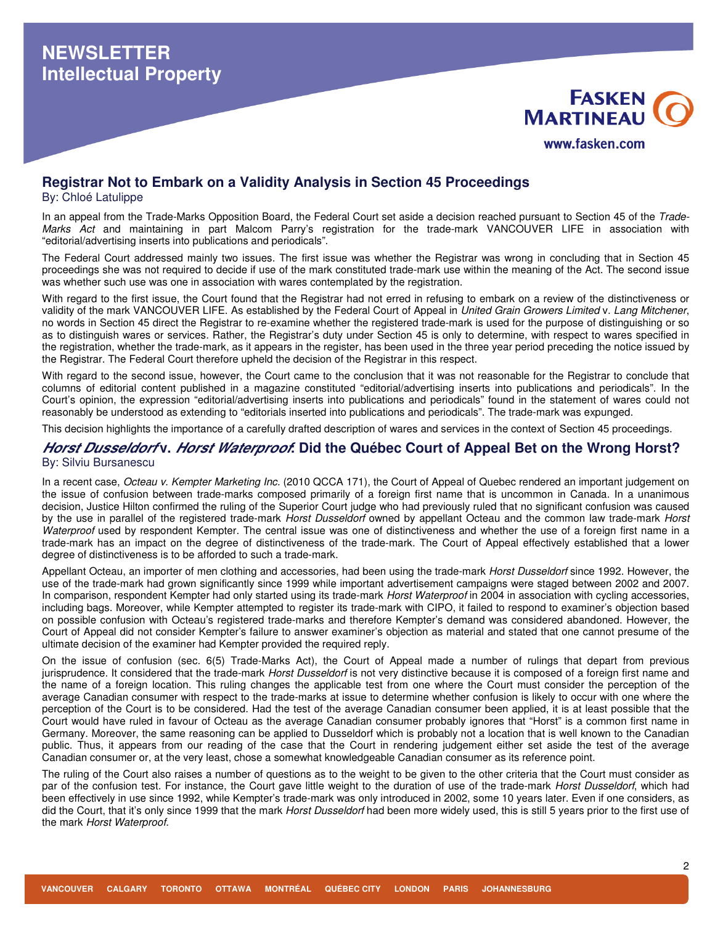



### **Registrar Not to Embark on a Validity Analysis in Section 45 Proceedings**

By: Chloé Latulippe

In an appeal from the Trade-Marks Opposition Board, the Federal Court set aside a decision reached pursuant to Section 45 of the Trade-Marks Act and maintaining in part Malcom Parry's registration for the trade-mark VANCOUVER LIFE in association with "editorial/advertising inserts into publications and periodicals".

The Federal Court addressed mainly two issues. The first issue was whether the Registrar was wrong in concluding that in Section 45 proceedings she was not required to decide if use of the mark constituted trade-mark use within the meaning of the Act. The second issue was whether such use was one in association with wares contemplated by the registration.

With regard to the first issue, the Court found that the Registrar had not erred in refusing to embark on a review of the distinctiveness or validity of the mark VANCOUVER LIFE. As established by the Federal Court of Appeal in United Grain Growers Limited v. Lang Mitchener, no words in Section 45 direct the Registrar to re-examine whether the registered trade-mark is used for the purpose of distinguishing or so as to distinguish wares or services. Rather, the Registrar's duty under Section 45 is only to determine, with respect to wares specified in the registration, whether the trade-mark, as it appears in the register, has been used in the three year period preceding the notice issued by the Registrar. The Federal Court therefore upheld the decision of the Registrar in this respect.

With regard to the second issue, however, the Court came to the conclusion that it was not reasonable for the Registrar to conclude that columns of editorial content published in a magazine constituted "editorial/advertising inserts into publications and periodicals". In the Court's opinion, the expression "editorial/advertising inserts into publications and periodicals" found in the statement of wares could not reasonably be understood as extending to "editorials inserted into publications and periodicals". The trade-mark was expunged.

This decision highlights the importance of a carefully drafted description of wares and services in the context of Section 45 proceedings.

#### **Horst Dusseldorf v. Horst Waterproof: Did the Québec Court of Appeal Bet on the Wrong Horst?**  By: Silviu Bursanescu

In a recent case, Octeau v. Kempter Marketing Inc. (2010 QCCA 171), the Court of Appeal of Quebec rendered an important judgement on the issue of confusion between trade-marks composed primarily of a foreign first name that is uncommon in Canada. In a unanimous decision, Justice Hilton confirmed the ruling of the Superior Court judge who had previously ruled that no significant confusion was caused by the use in parallel of the registered trade-mark Horst Dusseldorf owned by appellant Octeau and the common law trade-mark Horst Waterproof used by respondent Kempter. The central issue was one of distinctiveness and whether the use of a foreign first name in a trade-mark has an impact on the degree of distinctiveness of the trade-mark. The Court of Appeal effectively established that a lower degree of distinctiveness is to be afforded to such a trade-mark.

Appellant Octeau, an importer of men clothing and accessories, had been using the trade-mark Horst Dusseldorf since 1992. However, the use of the trade-mark had grown significantly since 1999 while important advertisement campaigns were staged between 2002 and 2007. In comparison, respondent Kempter had only started using its trade-mark Horst Waterproof in 2004 in association with cycling accessories, including bags. Moreover, while Kempter attempted to register its trade-mark with CIPO, it failed to respond to examiner's objection based on possible confusion with Octeau's registered trade-marks and therefore Kempter's demand was considered abandoned. However, the Court of Appeal did not consider Kempter's failure to answer examiner's objection as material and stated that one cannot presume of the ultimate decision of the examiner had Kempter provided the required reply.

On the issue of confusion (sec. 6(5) Trade-Marks Act), the Court of Appeal made a number of rulings that depart from previous jurisprudence. It considered that the trade-mark Horst Dusseldorf is not very distinctive because it is composed of a foreign first name and the name of a foreign location. This ruling changes the applicable test from one where the Court must consider the perception of the average Canadian consumer with respect to the trade-marks at issue to determine whether confusion is likely to occur with one where the perception of the Court is to be considered. Had the test of the average Canadian consumer been applied, it is at least possible that the Court would have ruled in favour of Octeau as the average Canadian consumer probably ignores that "Horst" is a common first name in Germany. Moreover, the same reasoning can be applied to Dusseldorf which is probably not a location that is well known to the Canadian public. Thus, it appears from our reading of the case that the Court in rendering judgement either set aside the test of the average Canadian consumer or, at the very least, chose a somewhat knowledgeable Canadian consumer as its reference point.

The ruling of the Court also raises a number of questions as to the weight to be given to the other criteria that the Court must consider as par of the confusion test. For instance, the Court gave little weight to the duration of use of the trade-mark Horst Dusseldorf, which had been effectively in use since 1992, while Kempter's trade-mark was only introduced in 2002, some 10 years later. Even if one considers, as did the Court, that it's only since 1999 that the mark Horst Dusseldorf had been more widely used, this is still 5 years prior to the first use of the mark Horst Waterproof.